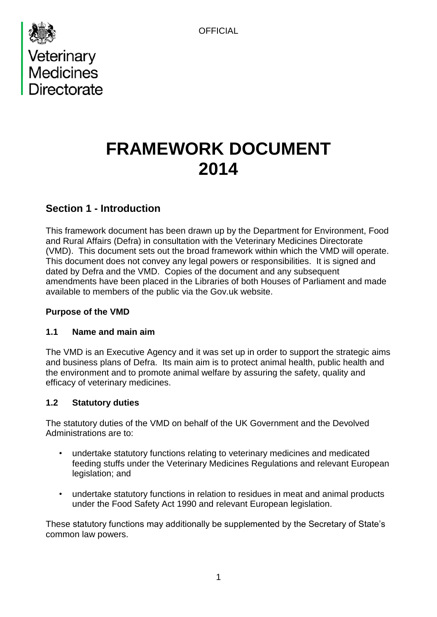



# **FRAMEWORK DOCUMENT 2014**

# **Section 1 - Introduction**

This framework document has been drawn up by the Department for Environment, Food and Rural Affairs (Defra) in consultation with the Veterinary Medicines Directorate (VMD). This document sets out the broad framework within which the VMD will operate. This document does not convey any legal powers or responsibilities. It is signed and dated by Defra and the VMD. Copies of the document and any subsequent amendments have been placed in the Libraries of both Houses of Parliament and made available to members of the public via the Gov.uk website.

#### **Purpose of the VMD**

#### **1.1 Name and main aim**

The VMD is an Executive Agency and it was set up in order to support the strategic aims and business plans of Defra. Its main aim is to protect animal health, public health and the environment and to promote animal welfare by assuring the safety, quality and efficacy of veterinary medicines.

# **1.2 Statutory duties**

The statutory duties of the VMD on behalf of the UK Government and the Devolved Administrations are to:

- undertake statutory functions relating to veterinary medicines and medicated feeding stuffs under the Veterinary Medicines Regulations and relevant European legislation; and
- undertake statutory functions in relation to residues in meat and animal products under the Food Safety Act 1990 and relevant European legislation.

These statutory functions may additionally be supplemented by the Secretary of State's common law powers.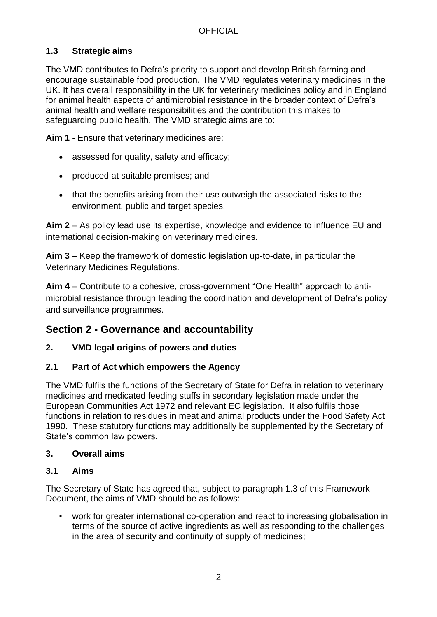# **1.3 Strategic aims**

The VMD contributes to Defra's priority to support and develop British farming and encourage sustainable food production. The VMD regulates veterinary medicines in the UK. It has overall responsibility in the UK for veterinary medicines policy and in England for animal health aspects of antimicrobial resistance in the broader context of Defra's animal health and welfare responsibilities and the contribution this makes to safeguarding public health. The VMD strategic aims are to:

**Aim 1** - Ensure that veterinary medicines are:

- assessed for quality, safety and efficacy;
- produced at suitable premises; and
- that the benefits arising from their use outweigh the associated risks to the environment, public and target species.

**Aim 2** – As policy lead use its expertise, knowledge and evidence to influence EU and international decision-making on veterinary medicines.

**Aim 3** – Keep the framework of domestic legislation up-to-date, in particular the Veterinary Medicines Regulations.

**Aim 4** – Contribute to a cohesive, cross-government "One Health" approach to antimicrobial resistance through leading the coordination and development of Defra's policy and surveillance programmes.

# **Section 2 - Governance and accountability**

# **2. VMD legal origins of powers and duties**

# **2.1 Part of Act which empowers the Agency**

The VMD fulfils the functions of the Secretary of State for Defra in relation to veterinary medicines and medicated feeding stuffs in secondary legislation made under the European Communities Act 1972 and relevant EC legislation. It also fulfils those functions in relation to residues in meat and animal products under the Food Safety Act 1990. These statutory functions may additionally be supplemented by the Secretary of State's common law powers.

#### **3. Overall aims**

#### **3.1 Aims**

The Secretary of State has agreed that, subject to paragraph 1.3 of this Framework Document, the aims of VMD should be as follows:

• work for greater international co-operation and react to increasing globalisation in terms of the source of active ingredients as well as responding to the challenges in the area of security and continuity of supply of medicines;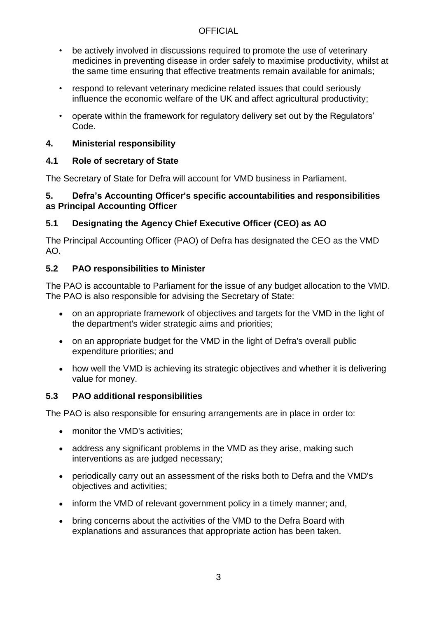- be actively involved in discussions required to promote the use of veterinary medicines in preventing disease in order safely to maximise productivity, whilst at the same time ensuring that effective treatments remain available for animals;
- respond to relevant veterinary medicine related issues that could seriously influence the economic welfare of the UK and affect agricultural productivity;
- operate within the framework for regulatory delivery set out by the Regulators' Code.

# **4. Ministerial responsibility**

# **4.1 Role of secretary of State**

The Secretary of State for Defra will account for VMD business in Parliament.

#### **5. Defra's Accounting Officer's specific accountabilities and responsibilities as Principal Accounting Officer**

# **5.1 Designating the Agency Chief Executive Officer (CEO) as AO**

The Principal Accounting Officer (PAO) of Defra has designated the CEO as the VMD AO.

# **5.2 PAO responsibilities to Minister**

The PAO is accountable to Parliament for the issue of any budget allocation to the VMD. The PAO is also responsible for advising the Secretary of State:

- on an appropriate framework of objectives and targets for the VMD in the light of the department's wider strategic aims and priorities;
- on an appropriate budget for the VMD in the light of Defra's overall public expenditure priorities; and
- how well the VMD is achieving its strategic objectives and whether it is delivering value for money.

# **5.3 PAO additional responsibilities**

The PAO is also responsible for ensuring arrangements are in place in order to:

- monitor the VMD's activities;
- address any significant problems in the VMD as they arise, making such interventions as are judged necessary;
- periodically carry out an assessment of the risks both to Defra and the VMD's objectives and activities;
- inform the VMD of relevant government policy in a timely manner; and,
- bring concerns about the activities of the VMD to the Defra Board with explanations and assurances that appropriate action has been taken.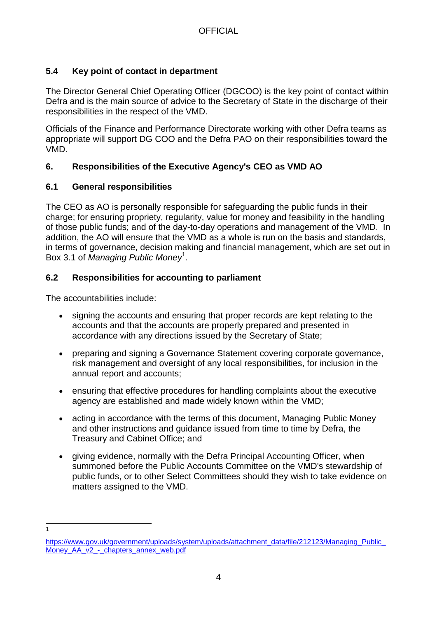# **5.4 Key point of contact in department**

The Director General Chief Operating Officer (DGCOO) is the key point of contact within Defra and is the main source of advice to the Secretary of State in the discharge of their responsibilities in the respect of the VMD.

Officials of the Finance and Performance Directorate working with other Defra teams as appropriate will support DG COO and the Defra PAO on their responsibilities toward the VMD.

# **6. Responsibilities of the Executive Agency's CEO as VMD AO**

#### **6.1 General responsibilities**

The CEO as AO is personally responsible for safeguarding the public funds in their charge; for ensuring propriety, regularity, value for money and feasibility in the handling of those public funds; and of the day-to-day operations and management of the VMD. In addition, the AO will ensure that the VMD as a whole is run on the basis and standards, in terms of governance, decision making and financial management, which are set out in Box 3.1 of *Managing Public Money*<sup>1</sup> .

#### **6.2 Responsibilities for accounting to parliament**

The accountabilities include:

- signing the accounts and ensuring that proper records are kept relating to the accounts and that the accounts are properly prepared and presented in accordance with any directions issued by the Secretary of State;
- preparing and signing a Governance Statement covering corporate governance, risk management and oversight of any local responsibilities, for inclusion in the annual report and accounts;
- ensuring that effective procedures for handling complaints about the executive agency are established and made widely known within the VMD;
- acting in accordance with the terms of this document, Managing Public Money and other instructions and guidance issued from time to time by Defra, the Treasury and Cabinet Office; and
- giving evidence, normally with the Defra Principal Accounting Officer, when summoned before the Public Accounts Committee on the VMD's stewardship of public funds, or to other Select Committees should they wish to take evidence on matters assigned to the VMD.

 $\frac{1}{1}$ 

[https://www.gov.uk/government/uploads/system/uploads/attachment\\_data/file/212123/Managing\\_Public\\_](https://www.gov.uk/government/uploads/system/uploads/attachment_data/file/212123/Managing_Public_Money_AA_v2_-_chapters_annex_web.pdf) Money AA\_v2 - chapters\_annex\_web.pdf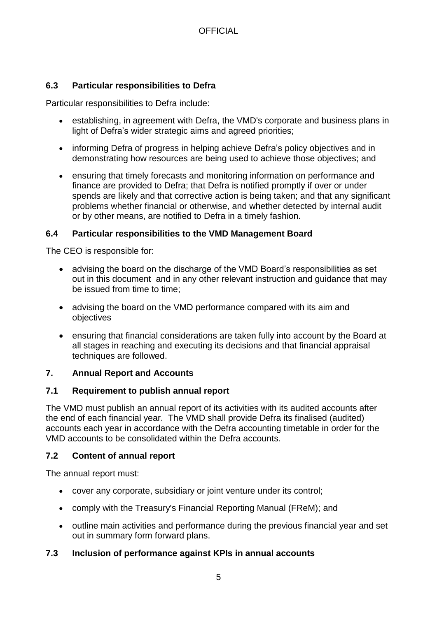# **6.3 Particular responsibilities to Defra**

Particular responsibilities to Defra include:

- establishing, in agreement with Defra, the VMD's corporate and business plans in light of Defra's wider strategic aims and agreed priorities;
- informing Defra of progress in helping achieve Defra's policy objectives and in demonstrating how resources are being used to achieve those objectives; and
- ensuring that timely forecasts and monitoring information on performance and finance are provided to Defra; that Defra is notified promptly if over or under spends are likely and that corrective action is being taken; and that any significant problems whether financial or otherwise, and whether detected by internal audit or by other means, are notified to Defra in a timely fashion.

#### **6.4 Particular responsibilities to the VMD Management Board**

The CEO is responsible for:

- advising the board on the discharge of the VMD Board's responsibilities as set out in this document and in any other relevant instruction and guidance that may be issued from time to time;
- advising the board on the VMD performance compared with its aim and objectives
- ensuring that financial considerations are taken fully into account by the Board at all stages in reaching and executing its decisions and that financial appraisal techniques are followed.

#### **7. Annual Report and Accounts**

#### **7.1 Requirement to publish annual report**

The VMD must publish an annual report of its activities with its audited accounts after the end of each financial year. The VMD shall provide Defra its finalised (audited) accounts each year in accordance with the Defra accounting timetable in order for the VMD accounts to be consolidated within the Defra accounts.

#### **7.2 Content of annual report**

The annual report must:

- cover any corporate, subsidiary or joint venture under its control;
- comply with the Treasury's Financial Reporting Manual (FReM); and
- outline main activities and performance during the previous financial year and set out in summary form forward plans.

#### **7.3 Inclusion of performance against KPIs in annual accounts**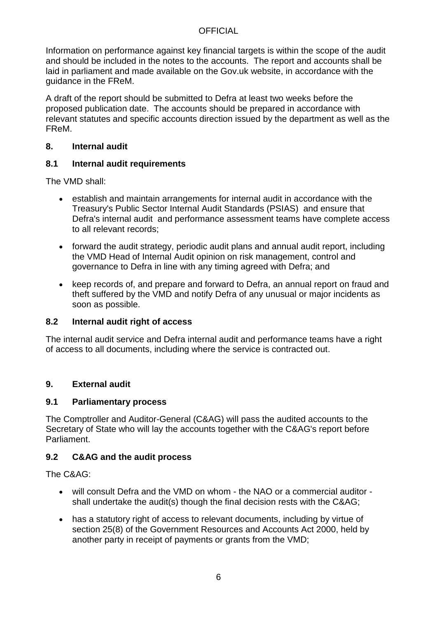Information on performance against key financial targets is within the scope of the audit and should be included in the notes to the accounts. The report and accounts shall be laid in parliament and made available on the Gov.uk website, in accordance with the guidance in the FReM.

A draft of the report should be submitted to Defra at least two weeks before the proposed publication date. The accounts should be prepared in accordance with relevant statutes and specific accounts direction issued by the department as well as the FReM.

### **8. Internal audit**

# **8.1 Internal audit requirements**

The VMD shall:

- establish and maintain arrangements for internal audit in accordance with the Treasury's Public Sector Internal Audit Standards (PSIAS) and ensure that Defra's internal audit and performance assessment teams have complete access to all relevant records;
- forward the audit strategy, periodic audit plans and annual audit report, including the VMD Head of Internal Audit opinion on risk management, control and governance to Defra in line with any timing agreed with Defra; and
- keep records of, and prepare and forward to Defra, an annual report on fraud and theft suffered by the VMD and notify Defra of any unusual or major incidents as soon as possible.

# **8.2 Internal audit right of access**

The internal audit service and Defra internal audit and performance teams have a right of access to all documents, including where the service is contracted out.

# **9. External audit**

#### **9.1 Parliamentary process**

The Comptroller and Auditor-General (C&AG) will pass the audited accounts to the Secretary of State who will lay the accounts together with the C&AG's report before Parliament.

# **9.2 C&AG and the audit process**

The C&AG:

- will consult Defra and the VMD on whom the NAO or a commercial auditor shall undertake the audit(s) though the final decision rests with the C&AG;
- has a statutory right of access to relevant documents, including by virtue of section 25(8) of the Government Resources and Accounts Act 2000, held by another party in receipt of payments or grants from the VMD;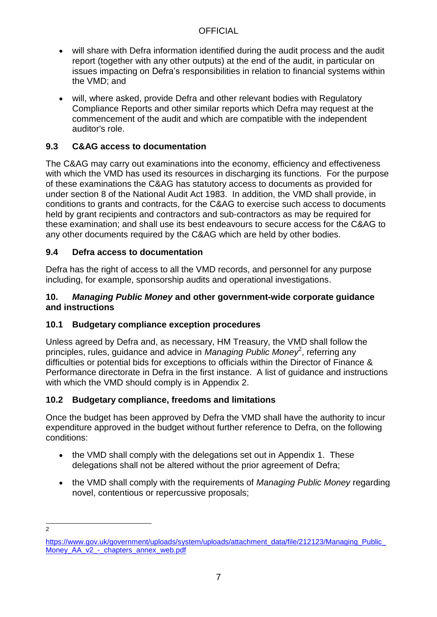- will share with Defra information identified during the audit process and the audit report (together with any other outputs) at the end of the audit, in particular on issues impacting on Defra's responsibilities in relation to financial systems within the VMD; and
- will, where asked, provide Defra and other relevant bodies with Regulatory Compliance Reports and other similar reports which Defra may request at the commencement of the audit and which are compatible with the independent auditor's role.

# **9.3 C&AG access to documentation**

The C&AG may carry out examinations into the economy, efficiency and effectiveness with which the VMD has used its resources in discharging its functions. For the purpose of these examinations the C&AG has statutory access to documents as provided for under section 8 of the National Audit Act 1983. In addition, the VMD shall provide, in conditions to grants and contracts, for the C&AG to exercise such access to documents held by grant recipients and contractors and sub-contractors as may be required for these examination; and shall use its best endeavours to secure access for the C&AG to any other documents required by the C&AG which are held by other bodies.

# **9.4 Defra access to documentation**

Defra has the right of access to all the VMD records, and personnel for any purpose including, for example, sponsorship audits and operational investigations.

#### **10.** *Managing Public Money* **and other government-wide corporate guidance and instructions**

# **10.1 Budgetary compliance exception procedures**

Unless agreed by Defra and, as necessary, HM Treasury, the VMD shall follow the principles, rules, guidance and advice in *Managing Public Money*<sup>2</sup>, referring any difficulties or potential bids for exceptions to officials within the Director of Finance & Performance directorate in Defra in the first instance. A list of guidance and instructions with which the VMD should comply is in Appendix 2.

# **10.2 Budgetary compliance, freedoms and limitations**

Once the budget has been approved by Defra the VMD shall have the authority to incur expenditure approved in the budget without further reference to Defra, on the following conditions:

- the VMD shall comply with the delegations set out in Appendix 1. These delegations shall not be altered without the prior agreement of Defra;
- the VMD shall comply with the requirements of *Managing Public Money* regarding novel, contentious or repercussive proposals;

 $\frac{1}{2}$ 

[https://www.gov.uk/government/uploads/system/uploads/attachment\\_data/file/212123/Managing\\_Public\\_](https://www.gov.uk/government/uploads/system/uploads/attachment_data/file/212123/Managing_Public_Money_AA_v2_-_chapters_annex_web.pdf) Money AA\_v2 - chapters\_annex\_web.pdf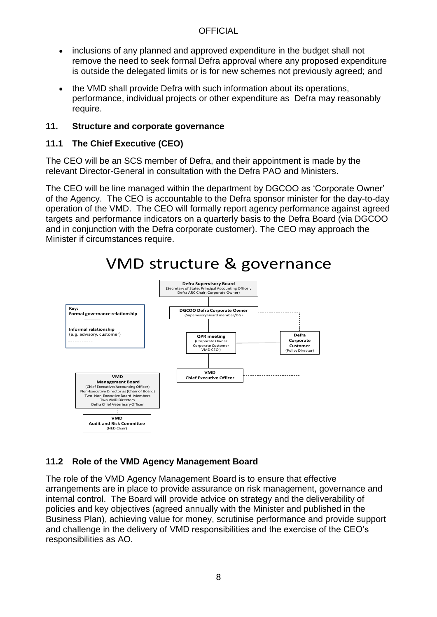- inclusions of any planned and approved expenditure in the budget shall not remove the need to seek formal Defra approval where any proposed expenditure is outside the delegated limits or is for new schemes not previously agreed; and
- the VMD shall provide Defra with such information about its operations, performance, individual projects or other expenditure as Defra may reasonably require.

### **11. Structure and corporate governance**

# **11.1 The Chief Executive (CEO)**

The CEO will be an SCS member of Defra, and their appointment is made by the relevant Director-General in consultation with the Defra PAO and Ministers.

The CEO will be line managed within the department by DGCOO as 'Corporate Owner' of the Agency. The CEO is accountable to the Defra sponsor minister for the day-to-day operation of the VMD. The CEO will formally report agency performance against agreed targets and performance indicators on a quarterly basis to the Defra Board (via DGCOO and in conjunction with the Defra corporate customer). The CEO may approach the Minister if circumstances require.



# VMD structure & governance

# **11.2 Role of the VMD Agency Management Board**

The role of the VMD Agency Management Board is to ensure that effective arrangements are in place to provide assurance on risk management, governance and internal control. The Board will provide advice on strategy and the deliverability of policies and key objectives (agreed annually with the Minister and published in the Business Plan), achieving value for money, scrutinise performance and provide support and challenge in the delivery of VMD responsibilities and the exercise of the CEO's responsibilities as AO.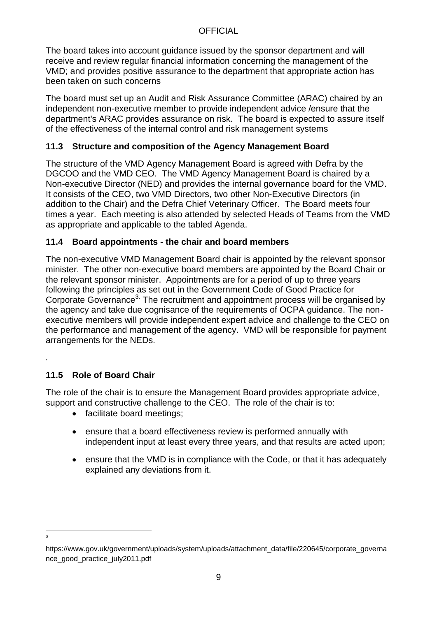The board takes into account guidance issued by the sponsor department and will receive and review regular financial information concerning the management of the VMD; and provides positive assurance to the department that appropriate action has been taken on such concerns

The board must set up an Audit and Risk Assurance Committee (ARAC) chaired by an independent non-executive member to provide independent advice /ensure that the department's ARAC provides assurance on risk. The board is expected to assure itself of the effectiveness of the internal control and risk management systems

# **11.3 Structure and composition of the Agency Management Board**

The structure of the VMD Agency Management Board is agreed with Defra by the DGCOO and the VMD CEO. The VMD Agency Management Board is chaired by a Non-executive Director (NED) and provides the internal governance board for the VMD. It consists of the CEO, two VMD Directors, two other Non-Executive Directors (in addition to the Chair) and the Defra Chief Veterinary Officer. The Board meets four times a year. Each meeting is also attended by selected Heads of Teams from the VMD as appropriate and applicable to the tabled Agenda.

# **11.4 Board appointments - the chair and board members**

The non-executive VMD Management Board chair is appointed by the relevant sponsor minister. The other non-executive board members are appointed by the Board Chair or the relevant sponsor minister. Appointments are for a period of up to three years following the principles as set out in the Government Code of Good Practice for Corporate Governance<sup>3.</sup> The recruitment and appointment process will be organised by the agency and take due cognisance of the requirements of OCPA guidance. The nonexecutive members will provide independent expert advice and challenge to the CEO on the performance and management of the agency. VMD will be responsible for payment arrangements for the NEDs.

# **11.5 Role of Board Chair**

The role of the chair is to ensure the Management Board provides appropriate advice, support and constructive challenge to the CEO. The role of the chair is to:

- facilitate board meetings:
- ensure that a board effectiveness review is performed annually with independent input at least every three years, and that results are acted upon;
- ensure that the VMD is in compliance with the Code, or that it has adequately explained any deviations from it.

-<br>3

*.*

https://www.gov.uk/government/uploads/system/uploads/attachment\_data/file/220645/corporate\_governa nce\_good\_practice\_july2011.pdf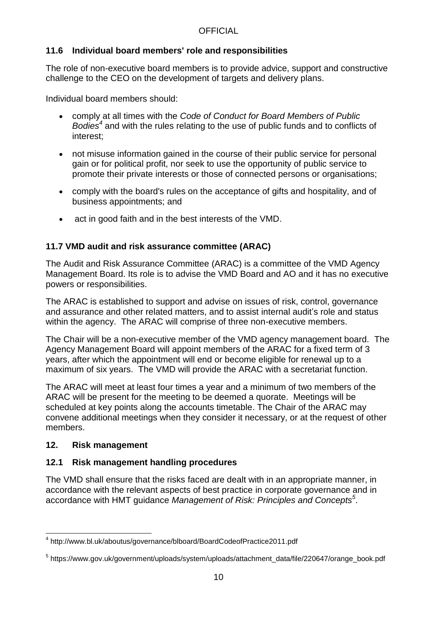#### **11.6 Individual board members' role and responsibilities**

The role of non-executive board members is to provide advice, support and constructive challenge to the CEO on the development of targets and delivery plans.

Individual board members should:

- comply at all times with the *Code of Conduct for Board Members of Public Bodies<sup>4</sup>* and with the rules relating to the use of public funds and to conflicts of interest;
- not misuse information gained in the course of their public service for personal gain or for political profit, nor seek to use the opportunity of public service to promote their private interests or those of connected persons or organisations;
- comply with the board's rules on the acceptance of gifts and hospitality, and of business appointments; and
- act in good faith and in the best interests of the VMD.

#### **11.7 VMD audit and risk assurance committee (ARAC)**

The Audit and Risk Assurance Committee (ARAC) is a committee of the VMD Agency Management Board. Its role is to advise the VMD Board and AO and it has no executive powers or responsibilities.

The ARAC is established to support and advise on issues of risk, control, governance and assurance and other related matters, and to assist internal audit's role and status within the agency. The ARAC will comprise of three non-executive members.

The Chair will be a non-executive member of the VMD agency management board. The Agency Management Board will appoint members of the ARAC for a fixed term of 3 years, after which the appointment will end or become eligible for renewal up to a maximum of six years. The VMD will provide the ARAC with a secretariat function.

The ARAC will meet at least four times a year and a minimum of two members of the ARAC will be present for the meeting to be deemed a quorate. Meetings will be scheduled at key points along the accounts timetable. The Chair of the ARAC may convene additional meetings when they consider it necessary, or at the request of other members.

#### **12. Risk management**

#### **12.1 Risk management handling procedures**

The VMD shall ensure that the risks faced are dealt with in an appropriate manner, in accordance with the relevant aspects of best practice in corporate governance and in accordance with HMT guidance *Management of Risk: Principles and Concepts<sup>5</sup>* .

l <sup>4</sup> http://www.bl.uk/aboutus/governance/blboard/BoardCodeofPractice2011.pdf

<sup>&</sup>lt;sup>5</sup> https://www.gov.uk/government/uploads/system/uploads/attachment\_data/file/220647/orange\_book.pdf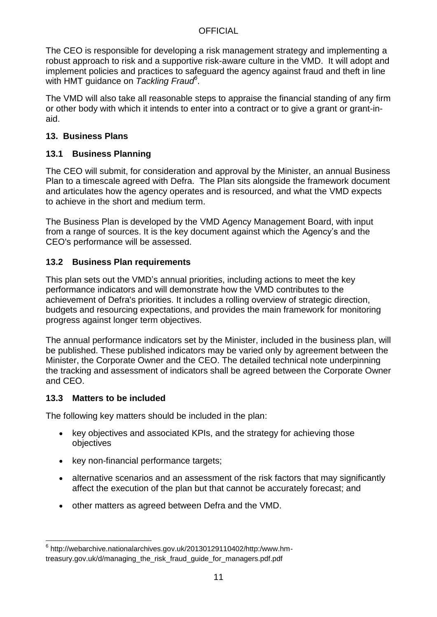The CEO is responsible for developing a risk management strategy and implementing a robust approach to risk and a supportive risk-aware culture in the VMD. It will adopt and implement policies and practices to safeguard the agency against fraud and theft in line with HMT guidance on *Tackling Fraud<sup>6</sup>* .

The VMD will also take all reasonable steps to appraise the financial standing of any firm or other body with which it intends to enter into a contract or to give a grant or grant-inaid.

#### **13. Business Plans**

#### **13.1 Business Planning**

The CEO will submit, for consideration and approval by the Minister, an annual Business Plan to a timescale agreed with Defra. The Plan sits alongside the framework document and articulates how the agency operates and is resourced, and what the VMD expects to achieve in the short and medium term.

The Business Plan is developed by the VMD Agency Management Board, with input from a range of sources. It is the key document against which the Agency's and the CEO's performance will be assessed.

#### **13.2 Business Plan requirements**

This plan sets out the VMD's annual priorities, including actions to meet the key performance indicators and will demonstrate how the VMD contributes to the achievement of Defra's priorities. It includes a rolling overview of strategic direction, budgets and resourcing expectations, and provides the main framework for monitoring progress against longer term objectives.

The annual performance indicators set by the Minister, included in the business plan, will be published. These published indicators may be varied only by agreement between the Minister, the Corporate Owner and the CEO. The detailed technical note underpinning the tracking and assessment of indicators shall be agreed between the Corporate Owner and CEO.

#### **13.3 Matters to be included**

l

The following key matters should be included in the plan:

- key objectives and associated KPIs, and the strategy for achieving those objectives
- key non-financial performance targets;
- alternative scenarios and an assessment of the risk factors that may significantly affect the execution of the plan but that cannot be accurately forecast; and
- other matters as agreed between Defra and the VMD.

<sup>6</sup> http://webarchive.nationalarchives.gov.uk/20130129110402/http:/www.hmtreasury.gov.uk/d/managing\_the\_risk\_fraud\_guide\_for\_managers.pdf.pdf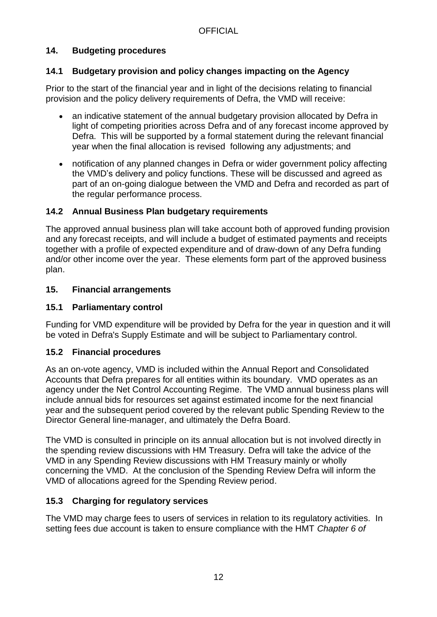# **14. Budgeting procedures**

#### **14.1 Budgetary provision and policy changes impacting on the Agency**

Prior to the start of the financial year and in light of the decisions relating to financial provision and the policy delivery requirements of Defra, the VMD will receive:

- an indicative statement of the annual budgetary provision allocated by Defra in light of competing priorities across Defra and of any forecast income approved by Defra. This will be supported by a formal statement during the relevant financial year when the final allocation is revised following any adjustments; and
- notification of any planned changes in Defra or wider government policy affecting the VMD's delivery and policy functions. These will be discussed and agreed as part of an on-going dialogue between the VMD and Defra and recorded as part of the regular performance process.

#### **14.2 Annual Business Plan budgetary requirements**

The approved annual business plan will take account both of approved funding provision and any forecast receipts, and will include a budget of estimated payments and receipts together with a profile of expected expenditure and of draw-down of any Defra funding and/or other income over the year. These elements form part of the approved business plan.

#### **15. Financial arrangements**

### **15.1 Parliamentary control**

Funding for VMD expenditure will be provided by Defra for the year in question and it will be voted in Defra's Supply Estimate and will be subject to Parliamentary control.

#### **15.2 Financial procedures**

As an on-vote agency, VMD is included within the Annual Report and Consolidated Accounts that Defra prepares for all entities within its boundary. VMD operates as an agency under the Net Control Accounting Regime. The VMD annual business plans will include annual bids for resources set against estimated income for the next financial year and the subsequent period covered by the relevant public Spending Review to the Director General line-manager, and ultimately the Defra Board.

The VMD is consulted in principle on its annual allocation but is not involved directly in the spending review discussions with HM Treasury. Defra will take the advice of the VMD in any Spending Review discussions with HM Treasury mainly or wholly concerning the VMD. At the conclusion of the Spending Review Defra will inform the VMD of allocations agreed for the Spending Review period.

#### **15.3 Charging for regulatory services**

The VMD may charge fees to users of services in relation to its regulatory activities. In setting fees due account is taken to ensure compliance with the HMT *Chapter 6 of*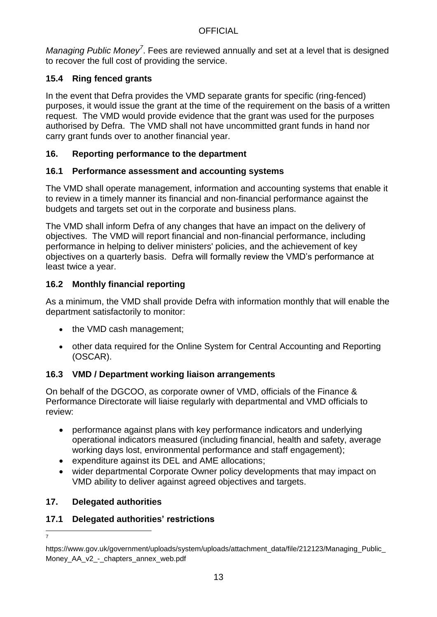*Managing Public Money<sup>7</sup>* . Fees are reviewed annually and set at a level that is designed to recover the full cost of providing the service.

# **15.4 Ring fenced grants**

In the event that Defra provides the VMD separate grants for specific (ring-fenced) purposes, it would issue the grant at the time of the requirement on the basis of a written request. The VMD would provide evidence that the grant was used for the purposes authorised by Defra. The VMD shall not have uncommitted grant funds in hand nor carry grant funds over to another financial year.

### **16. Reporting performance to the department**

# **16.1 Performance assessment and accounting systems**

The VMD shall operate management, information and accounting systems that enable it to review in a timely manner its financial and non-financial performance against the budgets and targets set out in the corporate and business plans.

The VMD shall inform Defra of any changes that have an impact on the delivery of objectives. The VMD will report financial and non-financial performance, including performance in helping to deliver ministers' policies, and the achievement of key objectives on a quarterly basis. Defra will formally review the VMD's performance at least twice a year.

# **16.2 Monthly financial reporting**

As a minimum, the VMD shall provide Defra with information monthly that will enable the department satisfactorily to monitor:

- the VMD cash management;
- other data required for the Online System for Central Accounting and Reporting (OSCAR).

# **16.3 VMD / Department working liaison arrangements**

On behalf of the DGCOO, as corporate owner of VMD, officials of the Finance & Performance Directorate will liaise regularly with departmental and VMD officials to review:

- performance against plans with key performance indicators and underlying operational indicators measured (including financial, health and safety, average working days lost, environmental performance and staff engagement);
- expenditure against its DEL and AME allocations;
- wider departmental Corporate Owner policy developments that may impact on VMD ability to deliver against agreed objectives and targets.

# **17. Delegated authorities**

#### **17.1 Delegated authorities' restrictions**

l 7

https://www.gov.uk/government/uploads/system/uploads/attachment\_data/file/212123/Managing\_Public\_ Money AA v2 - chapters annex web.pdf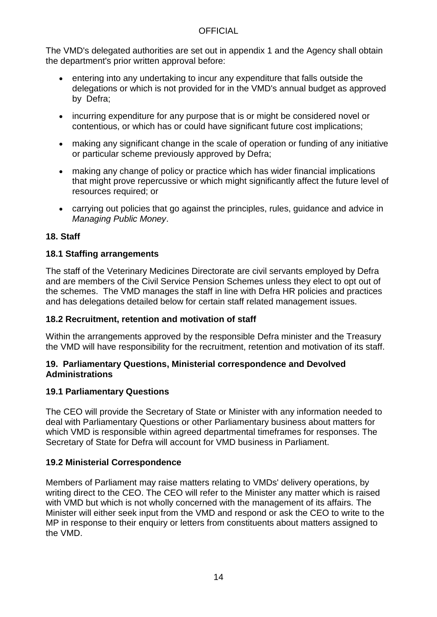The VMD's delegated authorities are set out in appendix 1 and the Agency shall obtain the department's prior written approval before:

- entering into any undertaking to incur any expenditure that falls outside the delegations or which is not provided for in the VMD's annual budget as approved by Defra;
- incurring expenditure for any purpose that is or might be considered novel or contentious, or which has or could have significant future cost implications;
- making any significant change in the scale of operation or funding of any initiative or particular scheme previously approved by Defra;
- making any change of policy or practice which has wider financial implications that might prove repercussive or which might significantly affect the future level of resources required; or
- carrying out policies that go against the principles, rules, guidance and advice in *Managing Public Money*.

# **18. Staff**

#### **18.1 Staffing arrangements**

The staff of the Veterinary Medicines Directorate are civil servants employed by Defra and are members of the Civil Service Pension Schemes unless they elect to opt out of the schemes. The VMD manages the staff in line with Defra HR policies and practices and has delegations detailed below for certain staff related management issues.

#### **18.2 Recruitment, retention and motivation of staff**

Within the arrangements approved by the responsible Defra minister and the Treasury the VMD will have responsibility for the recruitment, retention and motivation of its staff.

#### **19. Parliamentary Questions, Ministerial correspondence and Devolved Administrations**

#### **19.1 Parliamentary Questions**

The CEO will provide the Secretary of State or Minister with any information needed to deal with Parliamentary Questions or other Parliamentary business about matters for which VMD is responsible within agreed departmental timeframes for responses. The Secretary of State for Defra will account for VMD business in Parliament.

#### **19.2 Ministerial Correspondence**

Members of Parliament may raise matters relating to VMDs' delivery operations, by writing direct to the CEO. The CEO will refer to the Minister any matter which is raised with VMD but which is not wholly concerned with the management of its affairs. The Minister will either seek input from the VMD and respond or ask the CEO to write to the MP in response to their enquiry or letters from constituents about matters assigned to the VMD.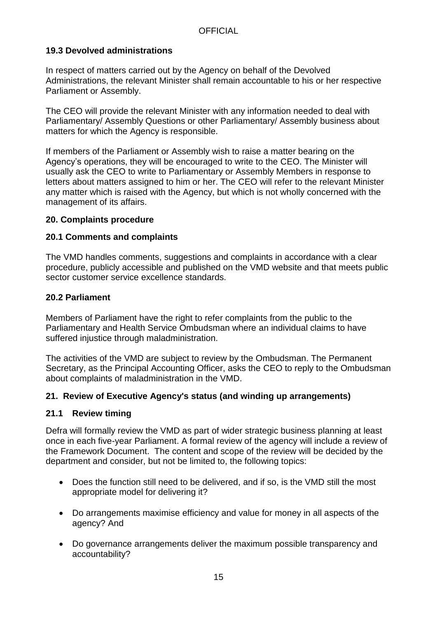#### **19.3 Devolved administrations**

In respect of matters carried out by the Agency on behalf of the Devolved Administrations, the relevant Minister shall remain accountable to his or her respective Parliament or Assembly.

The CEO will provide the relevant Minister with any information needed to deal with Parliamentary/ Assembly Questions or other Parliamentary/ Assembly business about matters for which the Agency is responsible.

If members of the Parliament or Assembly wish to raise a matter bearing on the Agency's operations, they will be encouraged to write to the CEO. The Minister will usually ask the CEO to write to Parliamentary or Assembly Members in response to letters about matters assigned to him or her. The CEO will refer to the relevant Minister any matter which is raised with the Agency, but which is not wholly concerned with the management of its affairs.

#### **20. Complaints procedure**

#### **20.1 Comments and complaints**

The VMD handles comments, suggestions and complaints in accordance with a clear procedure, publicly accessible and published on the VMD website and that meets public sector customer service excellence standards.

#### **20.2 Parliament**

Members of Parliament have the right to refer complaints from the public to the Parliamentary and Health Service Ombudsman where an individual claims to have suffered injustice through maladministration.

The activities of the VMD are subject to review by the Ombudsman. The Permanent Secretary, as the Principal Accounting Officer, asks the CEO to reply to the Ombudsman about complaints of maladministration in the VMD.

#### **21. Review of Executive Agency's status (and winding up arrangements)**

#### **21.1 Review timing**

Defra will formally review the VMD as part of wider strategic business planning at least once in each five-year Parliament. A formal review of the agency will include a review of the Framework Document. The content and scope of the review will be decided by the department and consider, but not be limited to, the following topics:

- Does the function still need to be delivered, and if so, is the VMD still the most appropriate model for delivering it?
- Do arrangements maximise efficiency and value for money in all aspects of the agency? And
- Do governance arrangements deliver the maximum possible transparency and accountability?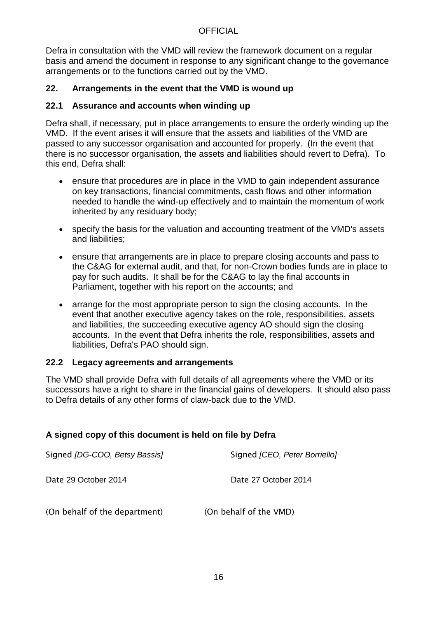Defra in consultation with the VMD will review the framework document on a regular basis and amend the document in response to any significant change to the governance arrangements or to the functions carried out by the VMD.

#### **22. Arrangements in the event that the VMD is wound up**

### **22.1 Assurance and accounts when winding up**

Defra shall, if necessary, put in place arrangements to ensure the orderly winding up the VMD. If the event arises it will ensure that the assets and liabilities of the VMD are passed to any successor organisation and accounted for properly. (In the event that there is no successor organisation, the assets and liabilities should revert to Defra). To this end, Defra shall:

- ensure that procedures are in place in the VMD to gain independent assurance on key transactions, financial commitments, cash flows and other information needed to handle the wind-up effectively and to maintain the momentum of work inherited by any residuary body;
- specify the basis for the valuation and accounting treatment of the VMD's assets and liabilities;
- ensure that arrangements are in place to prepare closing accounts and pass to the C&AG for external audit, and that, for non-Crown bodies funds are in place to pay for such audits. It shall be for the C&AG to lay the final accounts in Parliament, together with his report on the accounts; and
- arrange for the most appropriate person to sign the closing accounts. In the event that another executive agency takes on the role, responsibilities, assets and liabilities, the succeeding executive agency AO should sign the closing accounts. In the event that Defra inherits the role, responsibilities, assets and liabilities, Defra's PAO should sign.

#### **22.2 Legacy agreements and arrangements**

The VMD shall provide Defra with full details of all agreements where the VMD or its successors have a right to share in the financial gains of developers. It should also pass to Defra details of any other forms of claw-back due to the VMD.

#### **A signed copy of this document is held on file by Defra**

| Signed [DG-COO, Betsy Bassis] | Signed [CEO, Peter Borriello] |
|-------------------------------|-------------------------------|
| Date 29 October 2014          | Date 27 October 2014          |
| (On behalf of the department) | (On behalf of the VMD)        |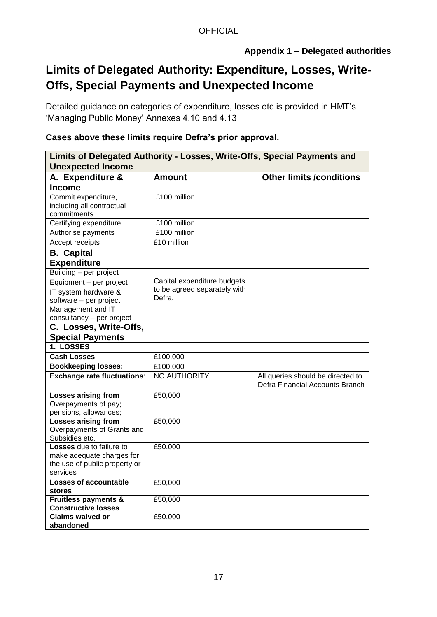# **Appendix 1 – Delegated authorities**

# **Limits of Delegated Authority: Expenditure, Losses, Write-Offs, Special Payments and Unexpected Income**

Detailed guidance on categories of expenditure, losses etc is provided in HMT's 'Managing Public Money' Annexes 4.10 and 4.13

### **Cases above these limits require Defra's prior approval.**

| Limits of Delegated Authority - Losses, Write-Offs, Special Payments and<br><b>Unexpected Income</b> |                                       |                                                                      |  |
|------------------------------------------------------------------------------------------------------|---------------------------------------|----------------------------------------------------------------------|--|
| A. Expenditure &                                                                                     | <b>Amount</b>                         | <b>Other limits /conditions</b>                                      |  |
| <b>Income</b>                                                                                        |                                       |                                                                      |  |
| Commit expenditure,<br>including all contractual<br>commitments                                      | £100 million                          | ä,                                                                   |  |
| Certifying expenditure                                                                               | £100 million                          |                                                                      |  |
| Authorise payments                                                                                   | £100 million                          |                                                                      |  |
| Accept receipts                                                                                      | £10 million                           |                                                                      |  |
| <b>B.</b> Capital                                                                                    |                                       |                                                                      |  |
| <b>Expenditure</b>                                                                                   |                                       |                                                                      |  |
| Building - per project                                                                               |                                       |                                                                      |  |
| Equipment - per project                                                                              | Capital expenditure budgets           |                                                                      |  |
| IT system hardware &<br>software - per project                                                       | to be agreed separately with<br>Defra |                                                                      |  |
| Management and IT                                                                                    |                                       |                                                                      |  |
| consultancy - per project                                                                            |                                       |                                                                      |  |
| C. Losses, Write-Offs,<br><b>Special Payments</b>                                                    |                                       |                                                                      |  |
| 1. LOSSES                                                                                            |                                       |                                                                      |  |
| <b>Cash Losses:</b>                                                                                  | £100,000                              |                                                                      |  |
| <b>Bookkeeping losses:</b>                                                                           | £100,000                              |                                                                      |  |
| <b>Exchange rate fluctuations:</b>                                                                   | NO AUTHORITY                          | All queries should be directed to<br>Defra Financial Accounts Branch |  |
| <b>Losses arising from</b><br>Overpayments of pay;<br>pensions, allowances;                          | £50,000                               |                                                                      |  |
| <b>Losses arising from</b><br>Overpayments of Grants and<br>Subsidies etc.                           | £50,000                               |                                                                      |  |
| Losses due to failure to<br>make adequate charges for<br>the use of public property or<br>services   | £50,000                               |                                                                      |  |
| <b>Losses of accountable</b><br>stores                                                               | £50,000                               |                                                                      |  |
| <b>Fruitless payments &amp;</b><br><b>Constructive losses</b>                                        | £50,000                               |                                                                      |  |
| <b>Claims waived or</b><br>abandoned                                                                 | £50,000                               |                                                                      |  |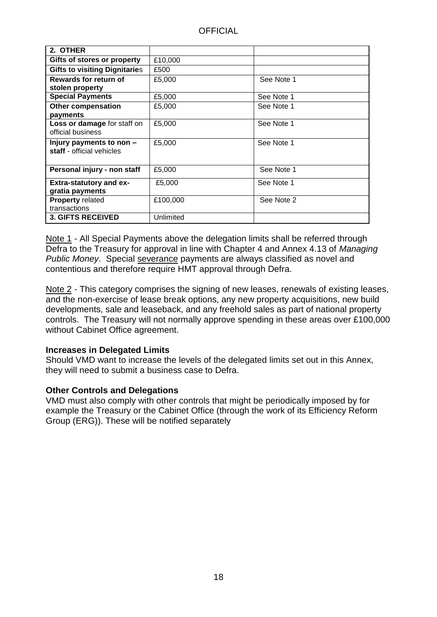| 2. OTHER                             |           |            |
|--------------------------------------|-----------|------------|
| Gifts of stores or property          | £10,000   |            |
| <b>Gifts to visiting Dignitaries</b> | £500      |            |
| Rewards for return of                | £5,000    | See Note 1 |
| stolen property                      |           |            |
| <b>Special Payments</b>              | £5,000    | See Note 1 |
| <b>Other compensation</b>            | £5,000    | See Note 1 |
| payments                             |           |            |
| Loss or damage for staff on          | £5,000    | See Note 1 |
| official business                    |           |            |
| Injury payments to non $-$           | £5,000    | See Note 1 |
| staff - official vehicles            |           |            |
|                                      |           |            |
| Personal injury - non staff          | £5,000    | See Note 1 |
| <b>Extra-statutory and ex-</b>       | £5,000    | See Note 1 |
| gratia payments                      |           |            |
| <b>Property related</b>              | £100,000  | See Note 2 |
| transactions                         |           |            |
| <b>3. GIFTS RECEIVED</b>             | Unlimited |            |

Note 1 - All Special Payments above the delegation limits shall be referred through Defra to the Treasury for approval in line with Chapter 4 and Annex 4.13 of *Managing Public Money*. Special severance payments are always classified as novel and contentious and therefore require HMT approval through Defra.

Note 2 - This category comprises the signing of new leases, renewals of existing leases, and the non-exercise of lease break options, any new property acquisitions, new build developments, sale and leaseback, and any freehold sales as part of national property controls. The Treasury will not normally approve spending in these areas over £100,000 without Cabinet Office agreement.

#### **Increases in Delegated Limits**

Should VMD want to increase the levels of the delegated limits set out in this Annex, they will need to submit a business case to Defra.

#### **Other Controls and Delegations**

VMD must also comply with other controls that might be periodically imposed by for example the Treasury or the Cabinet Office (through the work of its Efficiency Reform Group (ERG)). These will be notified separately